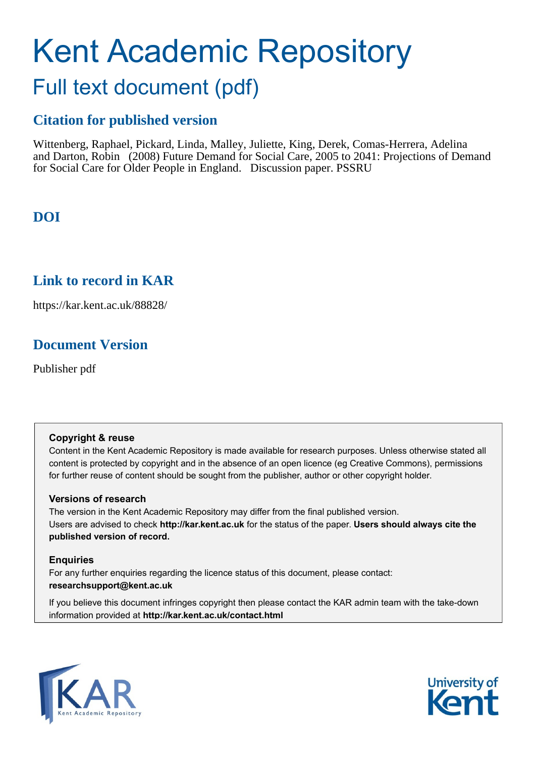# Kent Academic Repository

# Full text document (pdf)

## **Citation for published version**

Wittenberg, Raphael, Pickard, Linda, Malley, Juliette, King, Derek, Comas-Herrera, Adelina and Darton, Robin (2008) Future Demand for Social Care, 2005 to 2041: Projections of Demand for Social Care for Older People in England. Discussion paper. PSSRU

# **DOI**

## **Link to record in KAR**

https://kar.kent.ac.uk/88828/

# **Document Version**

Publisher pdf

#### **Copyright & reuse**

Content in the Kent Academic Repository is made available for research purposes. Unless otherwise stated all content is protected by copyright and in the absence of an open licence (eg Creative Commons), permissions for further reuse of content should be sought from the publisher, author or other copyright holder.

#### **Versions of research**

The version in the Kent Academic Repository may differ from the final published version. Users are advised to check **http://kar.kent.ac.uk** for the status of the paper. **Users should always cite the published version of record.**

#### **Enquiries**

For any further enquiries regarding the licence status of this document, please contact: **researchsupport@kent.ac.uk**

If you believe this document infringes copyright then please contact the KAR admin team with the take-down information provided at **http://kar.kent.ac.uk/contact.html**



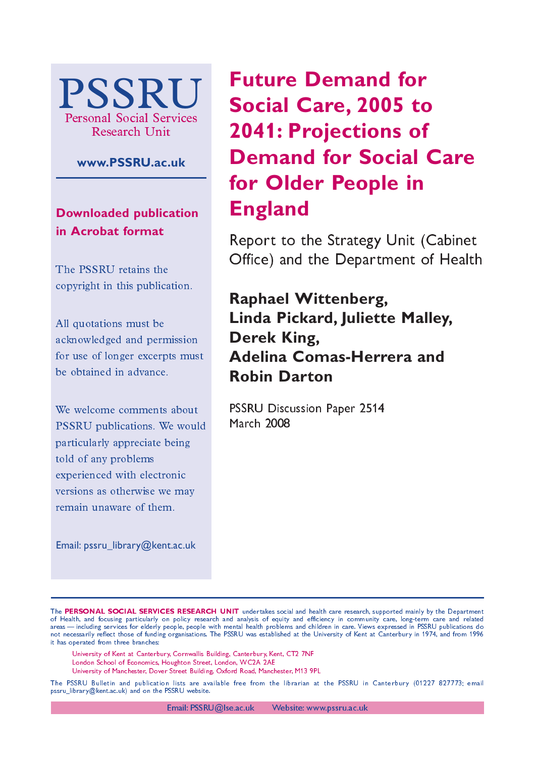

#### **www.PSSRU.ac.uk**

**Downloaded publication in Acrobat format**

The PSSRU retains the copyright in this publication.

All quotations must be acknowledged and permission for use of longer excerpts must be obtained in advance.

We welcome comments about PSSRU publications. We would particularly appreciate being told of any problems experienced with electronic versions as otherwise we may remain unaware of them.

Email: pssru\_library@kent.ac.uk

# **Future Demand for Social Care, 2005 to 2041: Projections of Demand for Social Care for Older People in England**

Report to the Strategy Unit (Cabinet Office) and the Department of Health

# **Raphael Wittenberg, Linda Pickard, Juliette Malley, Derek King, Adelina Comas-Herrera and Robin Darton**

PSSRU Discussion Paper 2514 **March 2008** 

The PERSONAL SOCIAL SERVICES RESEARCH UNIT undertakes social and health care research, supported mainly by the Department of Health, and focusing particularly on policy research and analysis of equity and efficiency in community care, long-term care and related areas—including services for elderly people, people with mental health problems and children in care. Views expressed in PSSRU publications do not necessarily reflect those of funding organisations. The PSSRU was established at the University of Kent at Canterbury in 1974, and from 1996 it has operated from three branches:

University of Kent at Canterbury, Cornwallis Building, Canterbury, Kent, CT2 7NF

London School of Economics, Houghton Street, London, WC2A 2AE

University of Manchester, Dover Street Building, Oxford Road, Manchester, M13-9PL

The PSSRU Bulletin and publication lists are available free from the librarian at the PSSRU in Canterbury (01227–827773; email pssru\_library@kent.ac.uk) and on the PSSRU website.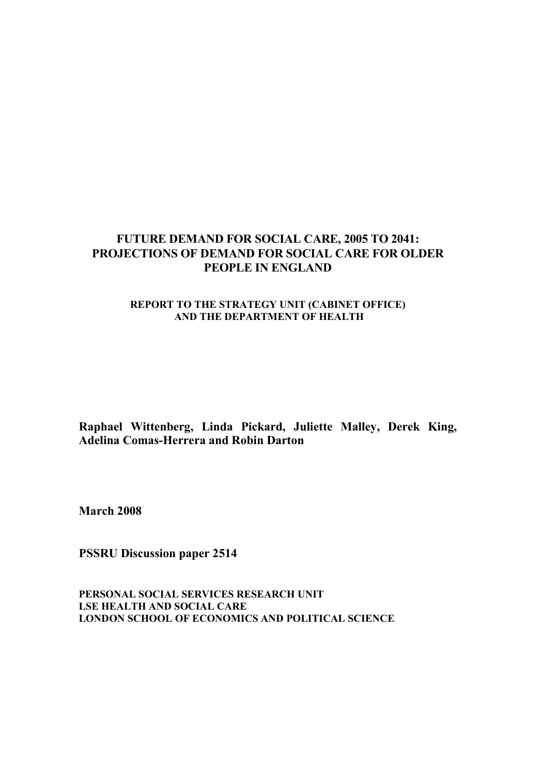#### **FUTURE DEMAND FOR SOCIAL CARE, 2005 TO 2041: PROJECTIONS OF DEMAND FOR SOCIAL CARE FOR OLDER PEOPLE IN ENGLAND**

#### **REPORT TO THE STRATEGY UNIT (CABINET OFFICE) AND THE DEPARTMENT OF HEALTH**

**Raphael Wittenberg, Linda Pickard, Juliette Malley, Derek King, Adelina Comas-Herrera and Robin Darton** 

**March 2008** 

**PSSRU Discussion paper 2514** 

**PERSONAL SOCIAL SERVICES RESEARCH UNIT LSE HEALTH AND SOCIAL CARE LONDON SCHOOL OF ECONOMICS AND POLITICAL SCIENCE**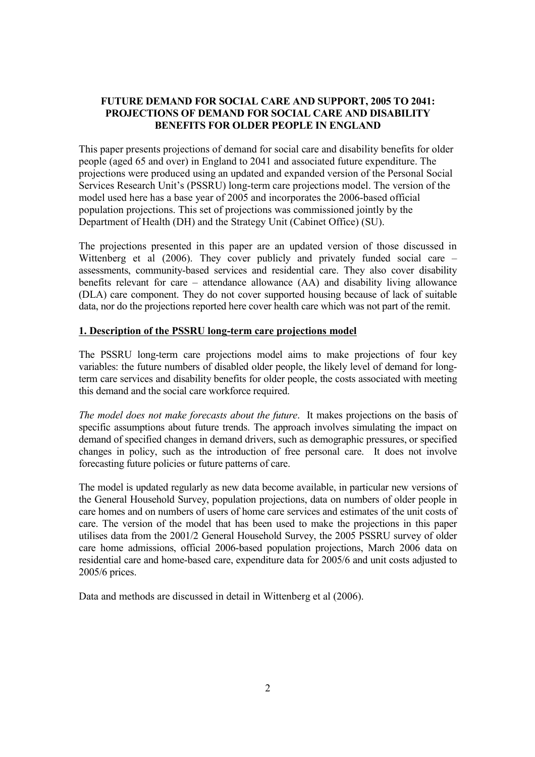#### **FUTURE DEMAND FOR SOCIAL CARE AND SUPPORT, 2005 TO 2041: PROJECTIONS OF DEMAND FOR SOCIAL CARE AND DISABILITY BENEFITS FOR OLDER PEOPLE IN ENGLAND**

This paper presents projections of demand for social care and disability benefits for older people (aged 65 and over) in England to 2041 and associated future expenditure. The projections were produced using an updated and expanded version of the Personal Social Services Research Unit's (PSSRU) long-term care projections model. The version of the model used here has a base year of 2005 and incorporates the 2006-based official population projections. This set of projections was commissioned jointly by the Department of Health (DH) and the Strategy Unit (Cabinet Office) (SU).

The projections presented in this paper are an updated version of those discussed in Wittenberg et al (2006). They cover publicly and privately funded social care – assessments, community-based services and residential care. They also cover disability benefits relevant for care – attendance allowance (AA) and disability living allowance (DLA) care component. They do not cover supported housing because of lack of suitable data, nor do the projections reported here cover health care which was not part of the remit.

#### **1. Description of the PSSRU long-term care projections model**

The PSSRU long-term care projections model aims to make projections of four key variables: the future numbers of disabled older people, the likely level of demand for longterm care services and disability benefits for older people, the costs associated with meeting this demand and the social care workforce required.

*The model does not make forecasts about the future*. It makes projections on the basis of specific assumptions about future trends. The approach involves simulating the impact on demand of specified changes in demand drivers, such as demographic pressures, or specified changes in policy, such as the introduction of free personal care. It does not involve forecasting future policies or future patterns of care.

The model is updated regularly as new data become available, in particular new versions of the General Household Survey, population projections, data on numbers of older people in care homes and on numbers of users of home care services and estimates of the unit costs of care. The version of the model that has been used to make the projections in this paper utilises data from the 2001/2 General Household Survey, the 2005 PSSRU survey of older care home admissions, official 2006-based population projections, March 2006 data on residential care and home-based care, expenditure data for 2005/6 and unit costs adjusted to 2005/6 prices.

Data and methods are discussed in detail in Wittenberg et al (2006).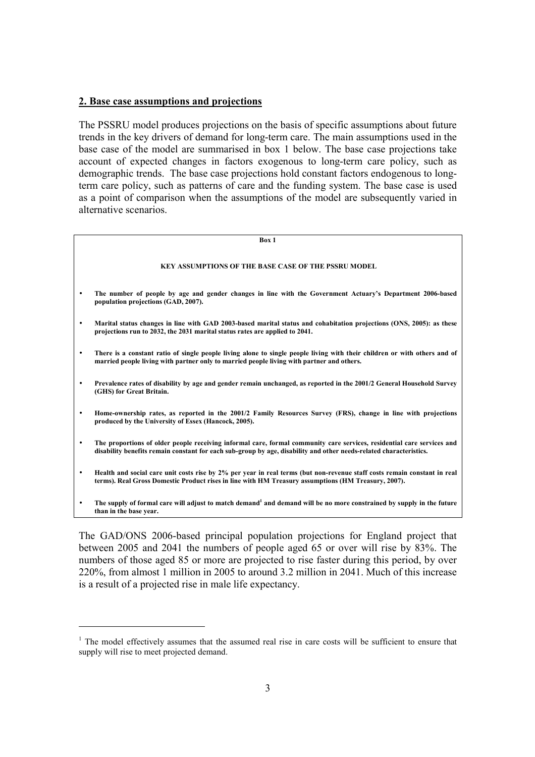#### **2. Base case assumptions and projections**

The PSSRU model produces projections on the basis of specific assumptions about future trends in the key drivers of demand for long-term care. The main assumptions used in the base case of the model are summarised in box 1 below. The base case projections take account of expected changes in factors exogenous to long-term care policy, such as demographic trends. The base case projections hold constant factors endogenous to longterm care policy, such as patterns of care and the funding system. The base case is used as a point of comparison when the assumptions of the model are subsequently varied in alternative scenarios.

### **Box 1 KEY ASSUMPTIONS OF THE BASE CASE OF THE PSSRU MODEL**  • **The number of people by age and gender changes in line with the Government Actuary's Department 2006-based population projections (GAD, 2007).**  • **Marital status changes in line with GAD 2003-based marital status and cohabitation projections (ONS, 2005): as these projections run to 2032, the 2031 marital status rates are applied to 2041.**  • **There is a constant ratio of single people living alone to single people living with their children or with others and of married people living with partner only to married people living with partner and others.**  • **Prevalence rates of disability by age and gender remain unchanged, as reported in the 2001/2 General Household Survey (GHS) for Great Britain.**  • **Home-ownership rates, as reported in the 2001/2 Family Resources Survey (FRS), change in line with projections produced by the University of Essex (Hancock, 2005).**  • **The proportions of older people receiving informal care, formal community care services, residential care services and disability benefits remain constant for each sub-group by age, disability and other needs-related characteristics.**  • **Health and social care unit costs rise by 2% per year in real terms (but non-revenue staff costs remain constant in real terms). Real Gross Domestic Product rises in line with HM Treasury assumptions (HM Treasury, 2007).**  The supply of formal care will adjust to match demand<sup>1</sup> and demand will be no more constrained by supply in the future **than in the base year.**

The GAD/ONS 2006-based principal population projections for England project that between 2005 and 2041 the numbers of people aged 65 or over will rise by 83%. The numbers of those aged 85 or more are projected to rise faster during this period, by over 220%, from almost 1 million in 2005 to around 3.2 million in 2041. Much of this increase is a result of a projected rise in male life expectancy.

<sup>&</sup>lt;sup>1</sup> The model effectively assumes that the assumed real rise in care costs will be sufficient to ensure that supply will rise to meet projected demand.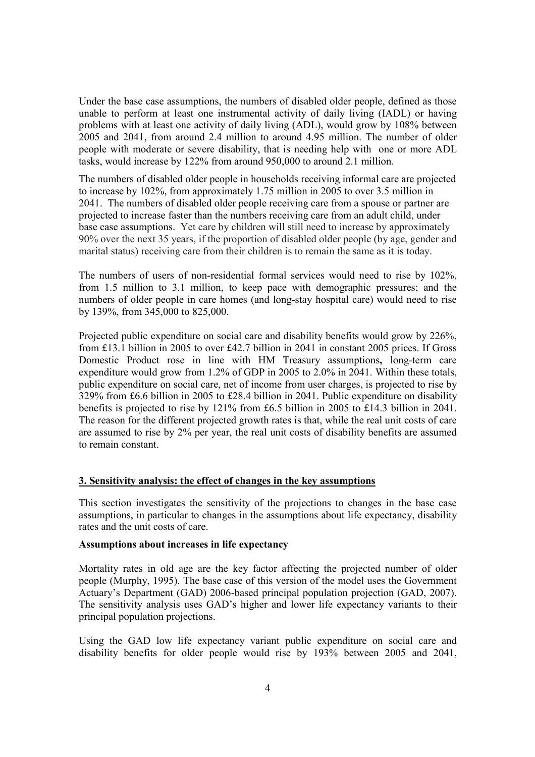Under the base case assumptions, the numbers of disabled older people, defined as those unable to perform at least one instrumental activity of daily living (IADL) or having problems with at least one activity of daily living (ADL), would grow by 108% between 2005 and 2041, from around 2.4 million to around 4.95 million. The number of older people with moderate or severe disability, that is needing help with one or more ADL tasks, would increase by 122% from around 950,000 to around 2.1 million.

The numbers of disabled older people in households receiving informal care are projected to increase by 102%, from approximately 1.75 million in 2005 to over 3.5 million in 2041. The numbers of disabled older people receiving care from a spouse or partner are projected to increase faster than the numbers receiving care from an adult child, under base case assumptions. Yet care by children will still need to increase by approximately 90% over the next 35 years, if the proportion of disabled older people (by age, gender and marital status) receiving care from their children is to remain the same as it is today.

The numbers of users of non-residential formal services would need to rise by 102%, from 1.5 million to 3.1 million, to keep pace with demographic pressures; and the numbers of older people in care homes (and long-stay hospital care) would need to rise by 139%, from 345,000 to 825,000.

Projected public expenditure on social care and disability benefits would grow by 226%, from £13.1 billion in 2005 to over £42.7 billion in 2041 in constant 2005 prices. If Gross Domestic Product rose in line with HM Treasury assumptions**,** long-term care expenditure would grow from 1.2% of GDP in 2005 to 2.0% in 2041. Within these totals, public expenditure on social care, net of income from user charges, is projected to rise by 329% from £6.6 billion in 2005 to £28.4 billion in 2041. Public expenditure on disability benefits is projected to rise by 121% from £6.5 billion in 2005 to £14.3 billion in 2041. The reason for the different projected growth rates is that, while the real unit costs of care are assumed to rise by 2% per year, the real unit costs of disability benefits are assumed to remain constant.

#### **3. Sensitivity analysis: the effect of changes in the key assumptions**

This section investigates the sensitivity of the projections to changes in the base case assumptions, in particular to changes in the assumptions about life expectancy, disability rates and the unit costs of care.

#### **Assumptions about increases in life expectancy**

Mortality rates in old age are the key factor affecting the projected number of older people (Murphy, 1995). The base case of this version of the model uses the Government Actuary's Department (GAD) 2006-based principal population projection (GAD, 2007). The sensitivity analysis uses GAD's higher and lower life expectancy variants to their principal population projections.

Using the GAD low life expectancy variant public expenditure on social care and disability benefits for older people would rise by 193% between 2005 and 2041,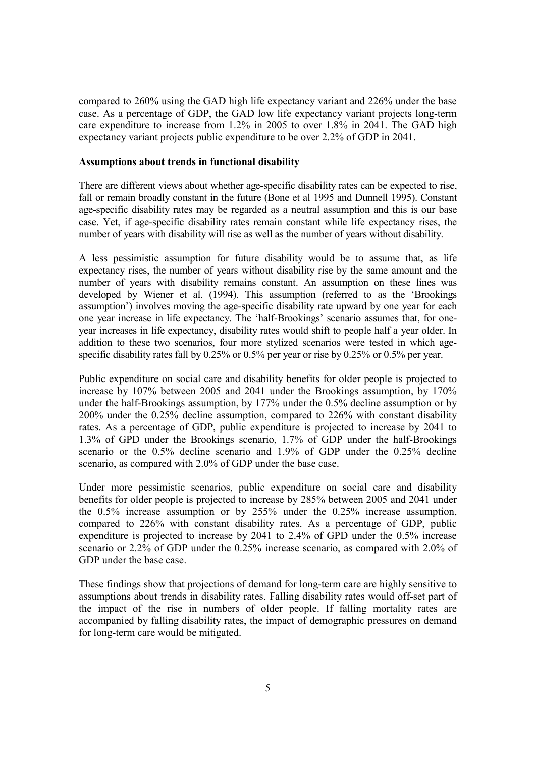compared to 260% using the GAD high life expectancy variant and 226% under the base case. As a percentage of GDP, the GAD low life expectancy variant projects long-term care expenditure to increase from 1.2% in 2005 to over 1.8% in 2041. The GAD high expectancy variant projects public expenditure to be over 2.2% of GDP in 2041.

#### **Assumptions about trends in functional disability**

There are different views about whether age-specific disability rates can be expected to rise, fall or remain broadly constant in the future (Bone et al 1995 and Dunnell 1995). Constant age-specific disability rates may be regarded as a neutral assumption and this is our base case. Yet, if age-specific disability rates remain constant while life expectancy rises, the number of years with disability will rise as well as the number of years without disability.

A less pessimistic assumption for future disability would be to assume that, as life expectancy rises, the number of years without disability rise by the same amount and the number of years with disability remains constant. An assumption on these lines was developed by Wiener et al. (1994). This assumption (referred to as the 'Brookings assumption') involves moving the age-specific disability rate upward by one year for each one year increase in life expectancy. The 'half-Brookings' scenario assumes that, for oneyear increases in life expectancy, disability rates would shift to people half a year older. In addition to these two scenarios, four more stylized scenarios were tested in which agespecific disability rates fall by 0.25% or 0.5% per year or rise by 0.25% or 0.5% per year.

Public expenditure on social care and disability benefits for older people is projected to increase by 107% between 2005 and 2041 under the Brookings assumption, by 170% under the half-Brookings assumption, by 177% under the 0.5% decline assumption or by 200% under the 0.25% decline assumption, compared to 226% with constant disability rates. As a percentage of GDP, public expenditure is projected to increase by 2041 to 1.3% of GPD under the Brookings scenario, 1.7% of GDP under the half-Brookings scenario or the 0.5% decline scenario and 1.9% of GDP under the 0.25% decline scenario, as compared with 2.0% of GDP under the base case.

Under more pessimistic scenarios, public expenditure on social care and disability benefits for older people is projected to increase by 285% between 2005 and 2041 under the 0.5% increase assumption or by 255% under the 0.25% increase assumption, compared to 226% with constant disability rates. As a percentage of GDP, public expenditure is projected to increase by 2041 to 2.4% of GPD under the 0.5% increase scenario or 2.2% of GDP under the 0.25% increase scenario, as compared with 2.0% of GDP under the base case.

These findings show that projections of demand for long-term care are highly sensitive to assumptions about trends in disability rates. Falling disability rates would off-set part of the impact of the rise in numbers of older people. If falling mortality rates are accompanied by falling disability rates, the impact of demographic pressures on demand for long-term care would be mitigated.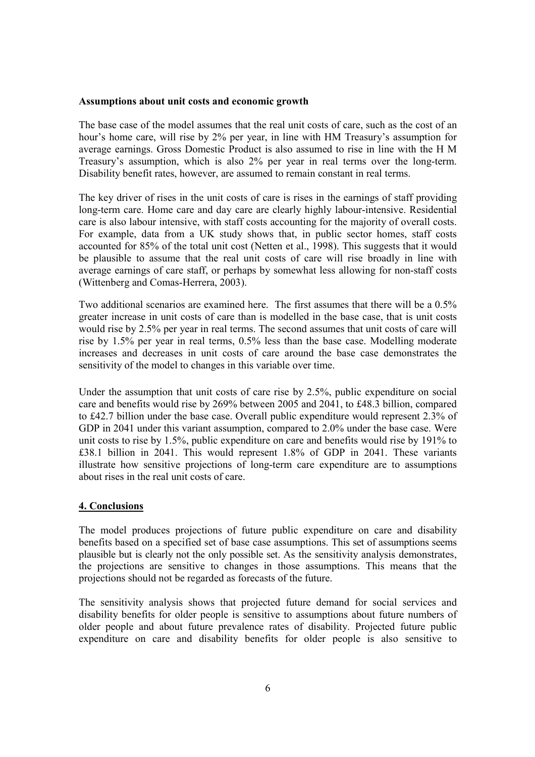#### **Assumptions about unit costs and economic growth**

The base case of the model assumes that the real unit costs of care, such as the cost of an hour's home care, will rise by 2% per year, in line with HM Treasury's assumption for average earnings. Gross Domestic Product is also assumed to rise in line with the H M Treasury's assumption, which is also 2% per year in real terms over the long-term. Disability benefit rates, however, are assumed to remain constant in real terms.

The key driver of rises in the unit costs of care is rises in the earnings of staff providing long-term care. Home care and day care are clearly highly labour-intensive. Residential care is also labour intensive, with staff costs accounting for the majority of overall costs. For example, data from a UK study shows that, in public sector homes, staff costs accounted for 85% of the total unit cost (Netten et al., 1998). This suggests that it would be plausible to assume that the real unit costs of care will rise broadly in line with average earnings of care staff, or perhaps by somewhat less allowing for non-staff costs (Wittenberg and Comas-Herrera, 2003).

Two additional scenarios are examined here. The first assumes that there will be a 0.5% greater increase in unit costs of care than is modelled in the base case, that is unit costs would rise by 2.5% per year in real terms. The second assumes that unit costs of care will rise by 1.5% per year in real terms, 0.5% less than the base case. Modelling moderate increases and decreases in unit costs of care around the base case demonstrates the sensitivity of the model to changes in this variable over time.

Under the assumption that unit costs of care rise by 2.5%, public expenditure on social care and benefits would rise by 269% between 2005 and 2041, to £48.3 billion, compared to £42.7 billion under the base case. Overall public expenditure would represent 2.3% of GDP in 2041 under this variant assumption, compared to 2.0% under the base case. Were unit costs to rise by 1.5%, public expenditure on care and benefits would rise by 191% to £38.1 billion in 2041. This would represent 1.8% of GDP in 2041. These variants illustrate how sensitive projections of long-term care expenditure are to assumptions about rises in the real unit costs of care.

#### **4. Conclusions**

The model produces projections of future public expenditure on care and disability benefits based on a specified set of base case assumptions. This set of assumptions seems plausible but is clearly not the only possible set. As the sensitivity analysis demonstrates, the projections are sensitive to changes in those assumptions. This means that the projections should not be regarded as forecasts of the future.

The sensitivity analysis shows that projected future demand for social services and disability benefits for older people is sensitive to assumptions about future numbers of older people and about future prevalence rates of disability. Projected future public expenditure on care and disability benefits for older people is also sensitive to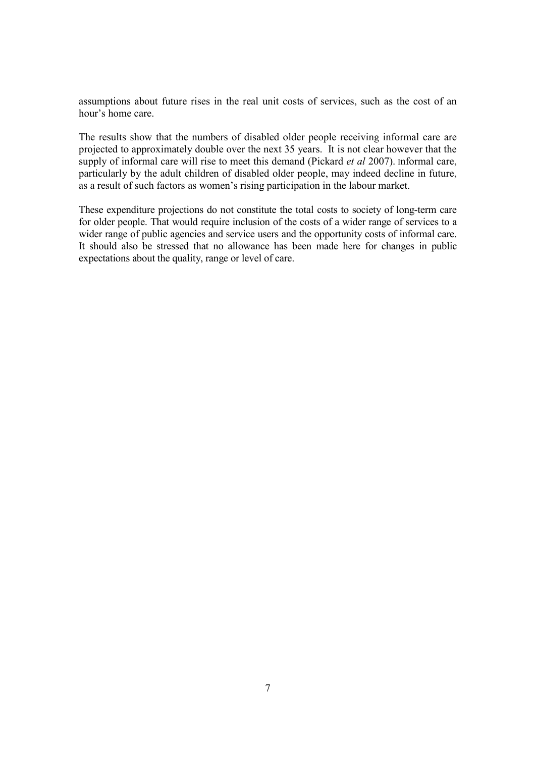assumptions about future rises in the real unit costs of services, such as the cost of an hour's home care.

The results show that the numbers of disabled older people receiving informal care are projected to approximately double over the next 35 years. It is not clear however that the supply of informal care will rise to meet this demand (Pickard *et al* 2007). Informal care, particularly by the adult children of disabled older people, may indeed decline in future, as a result of such factors as women's rising participation in the labour market.

These expenditure projections do not constitute the total costs to society of long-term care for older people. That would require inclusion of the costs of a wider range of services to a wider range of public agencies and service users and the opportunity costs of informal care. It should also be stressed that no allowance has been made here for changes in public expectations about the quality, range or level of care.